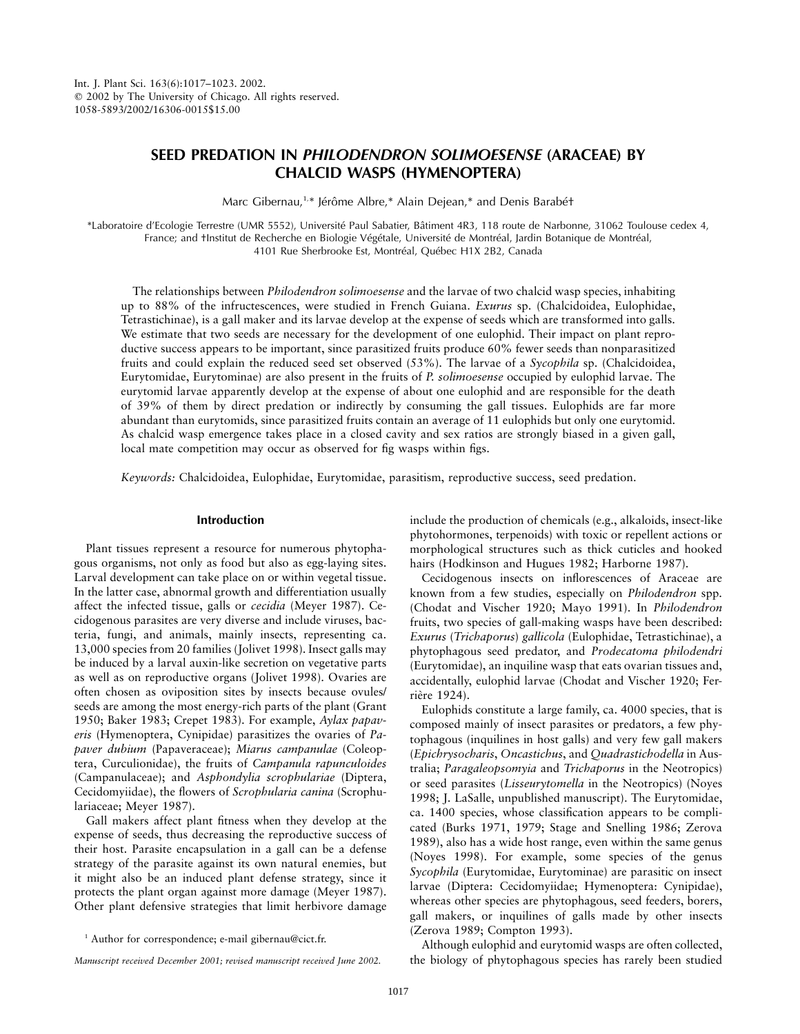# **SEED PREDATION IN** *PHILODENDRON SOLIMOESENSE* **(ARACEAE) BY CHALCID WASPS (HYMENOPTERA)**

Marc Gibernau,<sup>1,\*</sup> Jérôme Albre,\* Alain Dejean,\* and Denis Barabét

\*Laboratoire d'Ecologie Terrestre (UMR 5552), Universite´ Paul Sabatier, Baˆtiment 4R3, 118 route de Narbonne, 31062 Toulouse cedex 4, France; and †Institut de Recherche en Biologie Végétale, Université de Montréal, Jardin Botanique de Montréal, 4101 Rue Sherbrooke Est, Montréal, Québec H1X 2B2, Canada

The relationships between *Philodendron solimoesense* and the larvae of two chalcid wasp species, inhabiting up to 88% of the infructescences, were studied in French Guiana. *Exurus* sp. (Chalcidoidea, Eulophidae, Tetrastichinae), is a gall maker and its larvae develop at the expense of seeds which are transformed into galls. We estimate that two seeds are necessary for the development of one eulophid. Their impact on plant reproductive success appears to be important, since parasitized fruits produce 60% fewer seeds than nonparasitized fruits and could explain the reduced seed set observed (53%). The larvae of a *Sycophila* sp. (Chalcidoidea, Eurytomidae, Eurytominae) are also present in the fruits of *P. solimoesense* occupied by eulophid larvae. The eurytomid larvae apparently develop at the expense of about one eulophid and are responsible for the death of 39% of them by direct predation or indirectly by consuming the gall tissues. Eulophids are far more abundant than eurytomids, since parasitized fruits contain an average of 11 eulophids but only one eurytomid. As chalcid wasp emergence takes place in a closed cavity and sex ratios are strongly biased in a given gall, local mate competition may occur as observed for fig wasps within figs.

*Keywords:* Chalcidoidea, Eulophidae, Eurytomidae, parasitism, reproductive success, seed predation.

# **Introduction**

Plant tissues represent a resource for numerous phytophagous organisms, not only as food but also as egg-laying sites. Larval development can take place on or within vegetal tissue. In the latter case, abnormal growth and differentiation usually affect the infected tissue, galls or *cecidia* (Meyer 1987). Cecidogenous parasites are very diverse and include viruses, bacteria, fungi, and animals, mainly insects, representing ca. 13,000 species from 20 families (Jolivet 1998). Insect galls may be induced by a larval auxin-like secretion on vegetative parts as well as on reproductive organs (Jolivet 1998). Ovaries are often chosen as oviposition sites by insects because ovules/ seeds are among the most energy-rich parts of the plant (Grant 1950; Baker 1983; Crepet 1983). For example, *Aylax papaveris* (Hymenoptera, Cynipidae) parasitizes the ovaries of *Papaver dubium* (Papaveraceae); *Miarus campanulae* (Coleoptera, Curculionidae), the fruits of *Campanula rapunculoides* (Campanulaceae); and *Asphondylia scrophulariae* (Diptera, Cecidomyiidae), the flowers of *Scrophularia canina* (Scrophulariaceae; Meyer 1987).

Gall makers affect plant fitness when they develop at the expense of seeds, thus decreasing the reproductive success of their host. Parasite encapsulation in a gall can be a defense strategy of the parasite against its own natural enemies, but it might also be an induced plant defense strategy, since it protects the plant organ against more damage (Meyer 1987). Other plant defensive strategies that limit herbivore damage include the production of chemicals (e.g., alkaloids, insect-like phytohormones, terpenoids) with toxic or repellent actions or morphological structures such as thick cuticles and hooked hairs (Hodkinson and Hugues 1982; Harborne 1987).

Cecidogenous insects on inflorescences of Araceae are known from a few studies, especially on *Philodendron* spp. (Chodat and Vischer 1920; Mayo 1991). In *Philodendron* fruits, two species of gall-making wasps have been described: *Exurus* (*Trichaporus*) *gallicola* (Eulophidae, Tetrastichinae), a phytophagous seed predator, and *Prodecatoma philodendri* (Eurytomidae), an inquiline wasp that eats ovarian tissues and, accidentally, eulophid larvae (Chodat and Vischer 1920; Ferrière 1924).

Eulophids constitute a large family, ca. 4000 species, that is composed mainly of insect parasites or predators, a few phytophagous (inquilines in host galls) and very few gall makers (*Epichrysocharis*, *Oncastichus*, and *Quadrastichodella* in Australia; *Paragaleopsomyia* and *Trichaporus* in the Neotropics) or seed parasites (*Lisseurytomella* in the Neotropics) (Noyes 1998; J. LaSalle, unpublished manuscript). The Eurytomidae, ca. 1400 species, whose classification appears to be complicated (Burks 1971, 1979; Stage and Snelling 1986; Zerova 1989), also has a wide host range, even within the same genus (Noyes 1998). For example, some species of the genus *Sycophila* (Eurytomidae, Eurytominae) are parasitic on insect larvae (Diptera: Cecidomyiidae; Hymenoptera: Cynipidae), whereas other species are phytophagous, seed feeders, borers, gall makers, or inquilines of galls made by other insects (Zerova 1989; Compton 1993).

Although eulophid and eurytomid wasps are often collected, the biology of phytophagous species has rarely been studied

<sup>&</sup>lt;sup>1</sup> Author for correspondence; e-mail gibernau@cict.fr.

*Manuscript received December 2001; revised manuscript received June 2002.*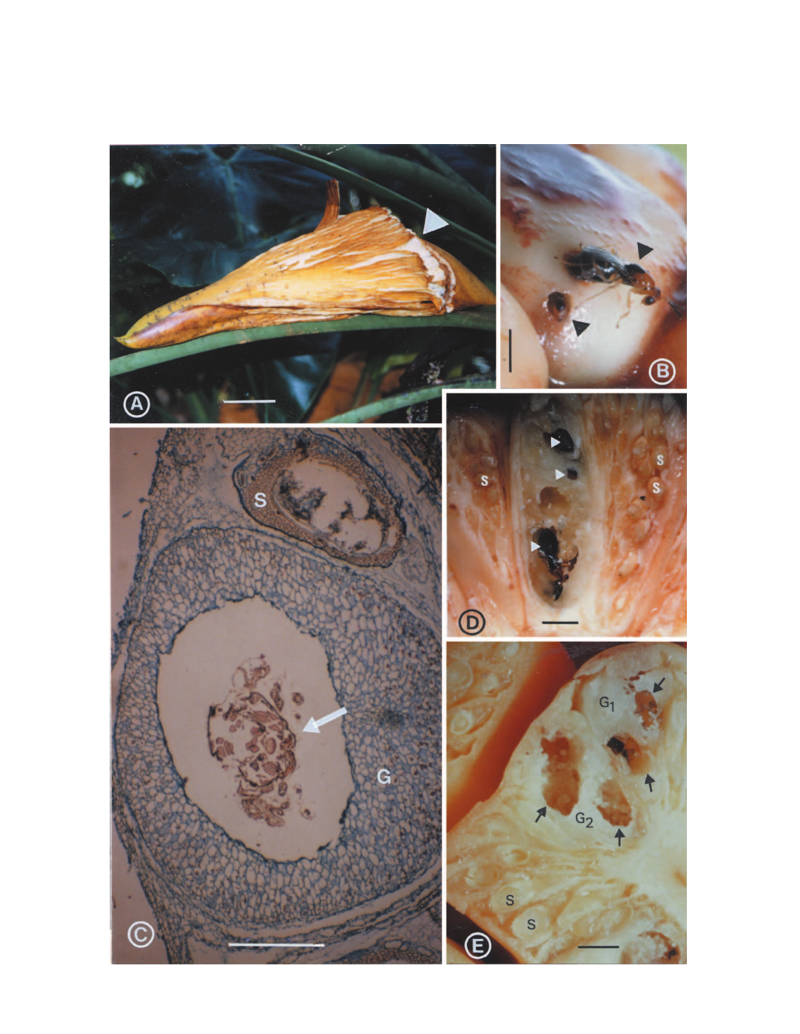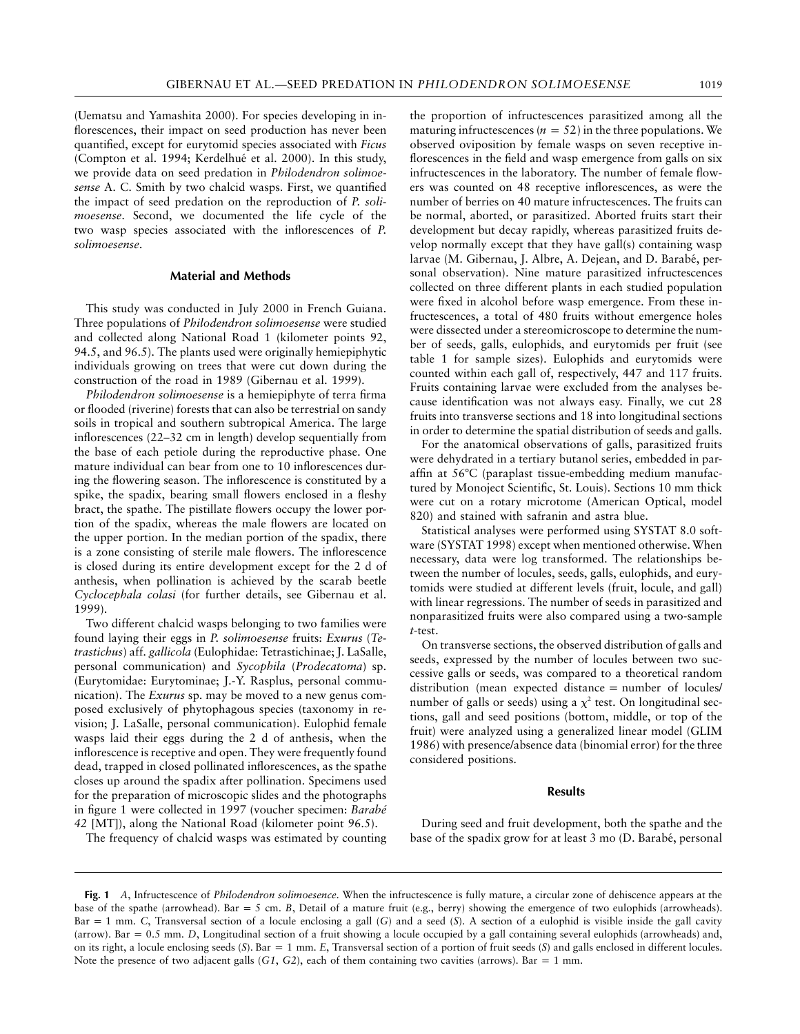(Uematsu and Yamashita 2000). For species developing in inflorescences, their impact on seed production has never been quantified, except for eurytomid species associated with *Ficus* (Compton et al. 1994; Kerdelhué et al. 2000). In this study, we provide data on seed predation in *Philodendron solimoesense* A. C. Smith by two chalcid wasps. First, we quantified the impact of seed predation on the reproduction of *P. solimoesense*. Second, we documented the life cycle of the two wasp species associated with the inflorescences of *P. solimoesense*.

# **Material and Methods**

This study was conducted in July 2000 in French Guiana. Three populations of *Philodendron solimoesense* were studied and collected along National Road 1 (kilometer points 92, 94.5, and 96.5). The plants used were originally hemiepiphytic individuals growing on trees that were cut down during the construction of the road in 1989 (Gibernau et al. 1999).

*Philodendron solimoesense* is a hemiepiphyte of terra firma or flooded (riverine) forests that can also be terrestrial on sandy soils in tropical and southern subtropical America. The large inflorescences (22–32 cm in length) develop sequentially from the base of each petiole during the reproductive phase. One mature individual can bear from one to 10 inflorescences during the flowering season. The inflorescence is constituted by a spike, the spadix, bearing small flowers enclosed in a fleshy bract, the spathe. The pistillate flowers occupy the lower portion of the spadix, whereas the male flowers are located on the upper portion. In the median portion of the spadix, there is a zone consisting of sterile male flowers. The inflorescence is closed during its entire development except for the 2 d of anthesis, when pollination is achieved by the scarab beetle *Cyclocephala colasi* (for further details, see Gibernau et al. 1999).

Two different chalcid wasps belonging to two families were found laying their eggs in *P. solimoesense* fruits: *Exurus* (*Tetrastichus*) aff. *gallicola* (Eulophidae: Tetrastichinae; J. LaSalle, personal communication) and *Sycophila* (*Prodecatoma*) sp. (Eurytomidae: Eurytominae; J.-Y. Rasplus, personal communication). The *Exurus* sp. may be moved to a new genus composed exclusively of phytophagous species (taxonomy in revision; J. LaSalle, personal communication). Eulophid female wasps laid their eggs during the 2 d of anthesis, when the inflorescence is receptive and open. They were frequently found dead, trapped in closed pollinated inflorescences, as the spathe closes up around the spadix after pollination. Specimens used for the preparation of microscopic slides and the photographs in figure 1 were collected in 1997 (voucher specimen: *Barabe´ 42* [MT]), along the National Road (kilometer point 96.5).

The frequency of chalcid wasps was estimated by counting

the proportion of infructescences parasitized among all the maturing infructescences ( $n = 52$ ) in the three populations. We observed oviposition by female wasps on seven receptive inflorescences in the field and wasp emergence from galls on six infructescences in the laboratory. The number of female flowers was counted on 48 receptive inflorescences, as were the number of berries on 40 mature infructescences. The fruits can be normal, aborted, or parasitized. Aborted fruits start their development but decay rapidly, whereas parasitized fruits develop normally except that they have gall(s) containing wasp larvae (M. Gibernau, J. Albre, A. Dejean, and D. Barabé, personal observation). Nine mature parasitized infructescences collected on three different plants in each studied population were fixed in alcohol before wasp emergence. From these infructescences, a total of 480 fruits without emergence holes were dissected under a stereomicroscope to determine the number of seeds, galls, eulophids, and eurytomids per fruit (see table 1 for sample sizes). Eulophids and eurytomids were counted within each gall of, respectively, 447 and 117 fruits. Fruits containing larvae were excluded from the analyses because identification was not always easy. Finally, we cut 28 fruits into transverse sections and 18 into longitudinal sections in order to determine the spatial distribution of seeds and galls.

For the anatomical observations of galls, parasitized fruits were dehydrated in a tertiary butanol series, embedded in paraffin at 56°C (paraplast tissue-embedding medium manufactured by Monoject Scientific, St. Louis). Sections 10 mm thick were cut on a rotary microtome (American Optical, model 820) and stained with safranin and astra blue.

Statistical analyses were performed using SYSTAT 8.0 software (SYSTAT 1998) except when mentioned otherwise. When necessary, data were log transformed. The relationships between the number of locules, seeds, galls, eulophids, and eurytomids were studied at different levels (fruit, locule, and gall) with linear regressions. The number of seeds in parasitized and nonparasitized fruits were also compared using a two-sample *t*-test.

On transverse sections, the observed distribution of galls and seeds, expressed by the number of locules between two successive galls or seeds, was compared to a theoretical random distribution (mean expected distance  $=$  number of locules/ number of galls or seeds) using a  $\chi^2$  test. On longitudinal sections, gall and seed positions (bottom, middle, or top of the fruit) were analyzed using a generalized linear model (GLIM 1986) with presence/absence data (binomial error) for the three considered positions.

#### **Results**

During seed and fruit development, both the spathe and the base of the spadix grow for at least 3 mo (D. Barabé, personal

**Fig. 1** *A*, Infructescence of *Philodendron solimoesence*. When the infructescence is fully mature, a circular zone of dehiscence appears at the base of the spathe (arrowhead). Bar = 5 cm. B, Detail of a mature fruit (e.g., berry) showing the emergence of two eulophids (arrowheads). Bar = 1 mm. *C*, Transversal section of a locule enclosing a gall (*G*) and a seed (*S*). A section of a eulophid is visible inside the gall cavity (arrow). Bar = 0.5 mm. D, Longitudinal section of a fruit showing a locule occupied by a gall containing several eulophids (arrowheads) and, on its right, a locule enclosing seeds  $(S)$ . Bar = 1 mm. E, Transversal section of a portion of fruit seeds  $(S)$  and galls enclosed in different locules. Note the presence of two adjacent galls  $(G1, G2)$ , each of them containing two cavities (arrows). Bar = 1 mm.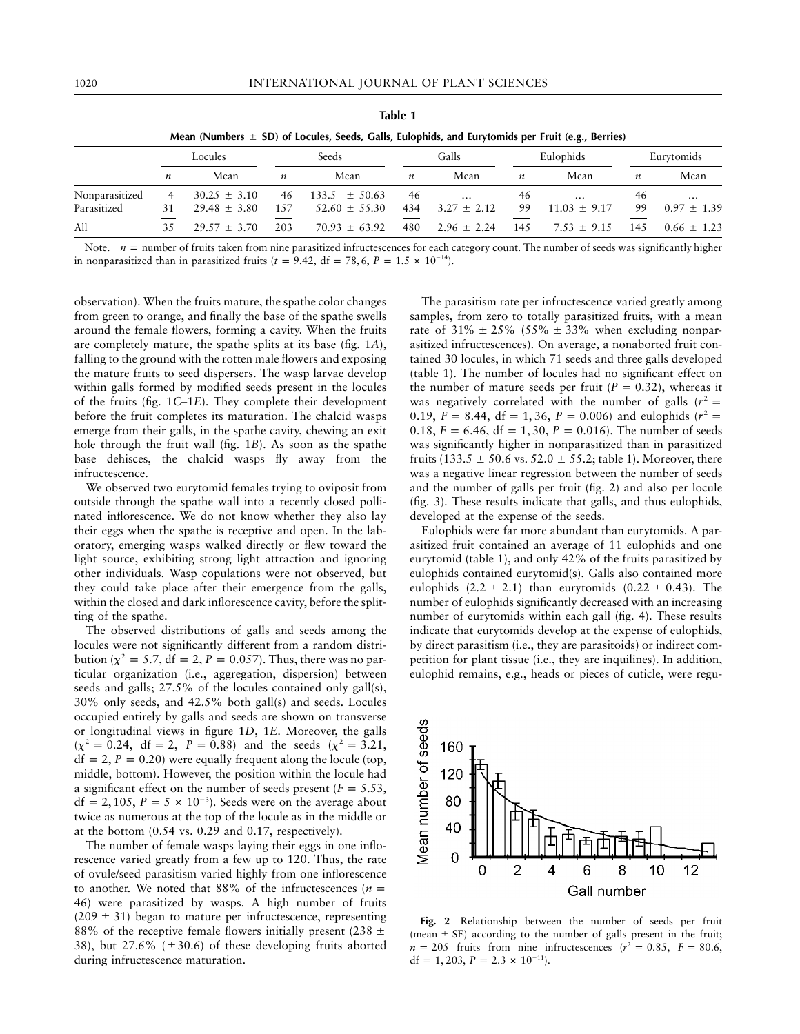| Mean (Numbers $\pm$ SD) of Locules, Seeds, Galls, Eulophids, and Eurytomids per Fruit (e.g., Berries) |                  |                  |                  |                   |                  |                 |                  |                  |            |                 |
|-------------------------------------------------------------------------------------------------------|------------------|------------------|------------------|-------------------|------------------|-----------------|------------------|------------------|------------|-----------------|
|                                                                                                       | Locules          |                  | Seeds            |                   | Galls            |                 | Eulophids        |                  | Eurytomids |                 |
|                                                                                                       | $\boldsymbol{n}$ | Mean             | $\boldsymbol{n}$ | Mean              | $\boldsymbol{n}$ | Mean            | $\boldsymbol{n}$ | Mean             | n          | Mean            |
| Nonparasitized                                                                                        |                  | $30.25 \pm 3.10$ | 46               | $133.5 \pm 50.63$ | 46               | $\cdots$        | 46               | $\cdots$         | 46         | $\cdots$        |
| Parasitized                                                                                           | 31               | $29.48 + 3.80$   | 157              | $52.60 \pm 55.30$ | 434              | $3.27 \pm 2.12$ | 99               | $11.03 \pm 9.17$ | 99         | $0.97 \pm 1.39$ |
| All                                                                                                   |                  | $29.57 + 3.70$   | 203              | $70.93 \pm 63.92$ | 480              | $2.96 \pm 2.24$ | 145              | $7.53 \pm 9.15$  | 145        | $0.66 \pm 1.23$ |

**Table 1**

Note.  $n =$  number of fruits taken from nine parasitized infructescences for each category count. The number of seeds was significantly higher in nonparasitized than in parasitized fruits ( $t = 9.42$ , df = 78, 6,  $P = 1.5 \times 10^{-14}$ ).

observation). When the fruits mature, the spathe color changes from green to orange, and finally the base of the spathe swells around the female flowers, forming a cavity. When the fruits are completely mature, the spathe splits at its base (fig. 1*A*), falling to the ground with the rotten male flowers and exposing the mature fruits to seed dispersers. The wasp larvae develop within galls formed by modified seeds present in the locules of the fruits (fig. 1*C*–1*E*). They complete their development before the fruit completes its maturation. The chalcid wasps emerge from their galls, in the spathe cavity, chewing an exit hole through the fruit wall (fig. 1*B*). As soon as the spathe base dehisces, the chalcid wasps fly away from the infructescence.

We observed two eurytomid females trying to oviposit from outside through the spathe wall into a recently closed pollinated inflorescence. We do not know whether they also lay their eggs when the spathe is receptive and open. In the laboratory, emerging wasps walked directly or flew toward the light source, exhibiting strong light attraction and ignoring other individuals. Wasp copulations were not observed, but they could take place after their emergence from the galls, within the closed and dark inflorescence cavity, before the splitting of the spathe.

The observed distributions of galls and seeds among the locules were not significantly different from a random distribution ( $\chi^2 = 5.7$ , df = 2, *P* = 0.057). Thus, there was no particular organization (i.e., aggregation, dispersion) between seeds and galls; 27.5% of the locules contained only gall(s), 30% only seeds, and 42.5% both gall(s) and seeds. Locules occupied entirely by galls and seeds are shown on transverse or longitudinal views in figure 1*D*, 1*E*. Moreover, the galls  $(x^2 = 0.24, df = 2, P = 0.88)$  and the seeds  $(x^2 = 3.21,$  $df = 2$ ,  $P = 0.20$ ) were equally frequent along the locule (top, middle, bottom). However, the position within the locule had a significant effect on the number of seeds present ( $F = 5.53$ ,  $df = 2,105$ ,  $P = 5 \times 10^{-3}$ ). Seeds were on the average about twice as numerous at the top of the locule as in the middle or at the bottom (0.54 vs. 0.29 and 0.17, respectively).

The number of female wasps laying their eggs in one inflorescence varied greatly from a few up to 120. Thus, the rate of ovule/seed parasitism varied highly from one inflorescence to another. We noted that 88% of the infructescences ( $n =$ 46) were parasitized by wasps. A high number of fruits  $(209 \pm 31)$  began to mature per infructescence, representing 88% of the receptive female flowers initially present (238  $\pm$ 38), but 27.6% ( $\pm$ 30.6) of these developing fruits aborted during infructescence maturation.

The parasitism rate per infructescence varied greatly among samples, from zero to totally parasitized fruits, with a mean rate of  $31\% \pm 25\%$  (55%  $\pm 33\%$  when excluding nonparasitized infructescences). On average, a nonaborted fruit contained 30 locules, in which 71 seeds and three galls developed (table 1). The number of locules had no significant effect on the number of mature seeds per fruit  $(P = 0.32)$ , whereas it was negatively correlated with the number of galls  $(r^2 =$ 0.19,  $F = 8.44$ ,  $df = 1, 36$ ,  $P = 0.006$  and eulophids  $(r^2 =$ 0.18,  $F = 6.46$ ,  $df = 1, 30$ ,  $P = 0.016$ ). The number of seeds was significantly higher in nonparasitized than in parasitized fruits (133.5  $\pm$  50.6 vs. 52.0  $\pm$  55.2; table 1). Moreover, there was a negative linear regression between the number of seeds and the number of galls per fruit (fig. 2) and also per locule (fig. 3). These results indicate that galls, and thus eulophids, developed at the expense of the seeds.

Eulophids were far more abundant than eurytomids. A parasitized fruit contained an average of 11 eulophids and one eurytomid (table 1), and only 42% of the fruits parasitized by eulophids contained eurytomid(s). Galls also contained more eulophids  $(2.2 \pm 2.1)$  than eurytomids  $(0.22 \pm 0.43)$ . The number of eulophids significantly decreased with an increasing number of eurytomids within each gall (fig. 4). These results indicate that eurytomids develop at the expense of eulophids, by direct parasitism (i.e., they are parasitoids) or indirect competition for plant tissue (i.e., they are inquilines). In addition, eulophid remains, e.g., heads or pieces of cuticle, were regu-



**Fig. 2** Relationship between the number of seeds per fruit (mean  $\pm$  SE) according to the number of galls present in the fruit;  $n = 205$  fruits from nine infructescences  $(r^2 = 0.85, F = 80.6,$  $df = 1, 203, P = 2.3 \times 10^{-11}$ .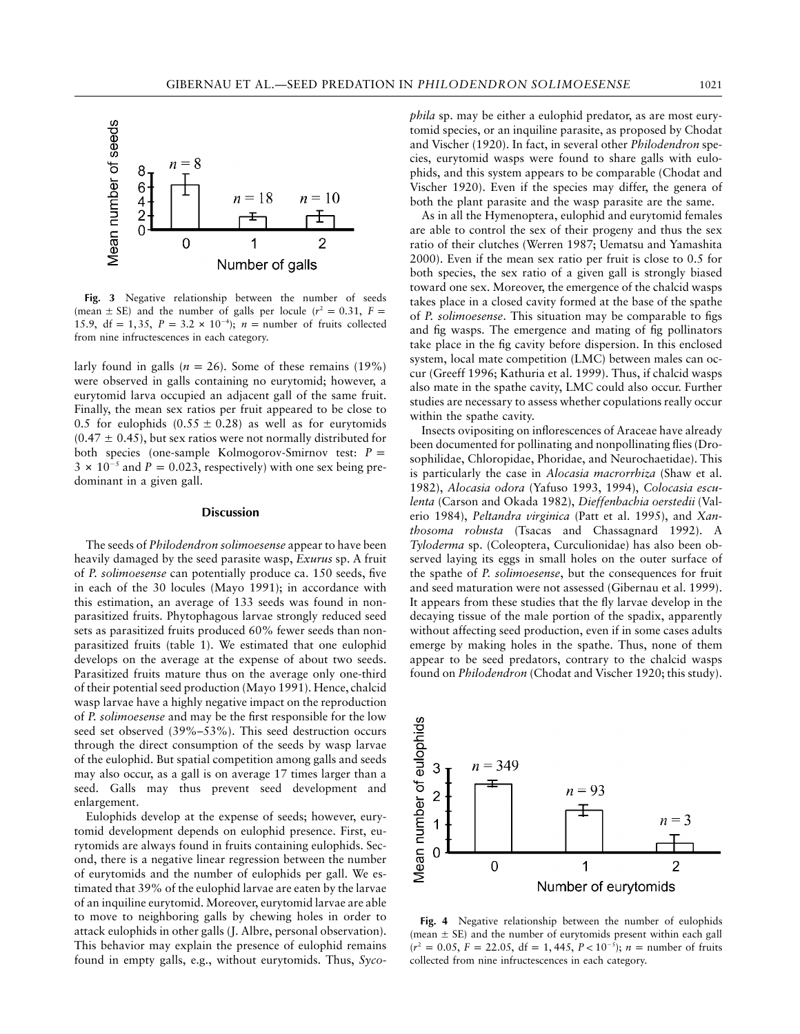

**Fig. 3** Negative relationship between the number of seeds (mean  $\pm$  SE) and the number of galls per locule ( $r^2 = 0.31$ ,  $F =$ 15.9, df = 1,35,  $P = 3.2 \times 10^{-4}$ ;  $n =$  number of fruits collected from nine infructescences in each category.

larly found in galls ( $n = 26$ ). Some of these remains (19%) were observed in galls containing no eurytomid; however, a eurytomid larva occupied an adjacent gall of the same fruit. Finally, the mean sex ratios per fruit appeared to be close to 0.5 for eulophids  $(0.55 \pm 0.28)$  as well as for eurytomids  $(0.47 \pm 0.45)$ , but sex ratios were not normally distributed for both species (one-sample Kolmogorov-Smirnov test:  $P =$  $3 \times 10^{-5}$  and  $P = 0.023$ , respectively) with one sex being predominant in a given gall.

## **Discussion**

The seeds of *Philodendron solimoesense* appear to have been heavily damaged by the seed parasite wasp, *Exurus* sp. A fruit of *P. solimoesense* can potentially produce ca. 150 seeds, five in each of the 30 locules (Mayo 1991); in accordance with this estimation, an average of 133 seeds was found in nonparasitized fruits. Phytophagous larvae strongly reduced seed sets as parasitized fruits produced 60% fewer seeds than nonparasitized fruits (table 1). We estimated that one eulophid develops on the average at the expense of about two seeds. Parasitized fruits mature thus on the average only one-third of their potential seed production (Mayo 1991). Hence, chalcid wasp larvae have a highly negative impact on the reproduction of *P. solimoesense* and may be the first responsible for the low seed set observed (39%–53%). This seed destruction occurs through the direct consumption of the seeds by wasp larvae of the eulophid. But spatial competition among galls and seeds may also occur, as a gall is on average 17 times larger than a seed. Galls may thus prevent seed development and enlargement.

Eulophids develop at the expense of seeds; however, eurytomid development depends on eulophid presence. First, eurytomids are always found in fruits containing eulophids. Second, there is a negative linear regression between the number of eurytomids and the number of eulophids per gall. We estimated that 39% of the eulophid larvae are eaten by the larvae of an inquiline eurytomid. Moreover, eurytomid larvae are able to move to neighboring galls by chewing holes in order to attack eulophids in other galls (J. Albre, personal observation). This behavior may explain the presence of eulophid remains found in empty galls, e.g., without eurytomids. Thus, *Syco-* *phila* sp. may be either a eulophid predator, as are most eurytomid species, or an inquiline parasite, as proposed by Chodat and Vischer (1920). In fact, in several other *Philodendron* species, eurytomid wasps were found to share galls with eulophids, and this system appears to be comparable (Chodat and Vischer 1920). Even if the species may differ, the genera of both the plant parasite and the wasp parasite are the same.

As in all the Hymenoptera, eulophid and eurytomid females are able to control the sex of their progeny and thus the sex ratio of their clutches (Werren 1987; Uematsu and Yamashita 2000). Even if the mean sex ratio per fruit is close to 0.5 for both species, the sex ratio of a given gall is strongly biased toward one sex. Moreover, the emergence of the chalcid wasps takes place in a closed cavity formed at the base of the spathe of *P. solimoesense*. This situation may be comparable to figs and fig wasps. The emergence and mating of fig pollinators take place in the fig cavity before dispersion. In this enclosed system, local mate competition (LMC) between males can occur (Greeff 1996; Kathuria et al. 1999). Thus, if chalcid wasps also mate in the spathe cavity, LMC could also occur. Further studies are necessary to assess whether copulations really occur within the spathe cavity.

Insects ovipositing on inflorescences of Araceae have already been documented for pollinating and nonpollinating flies (Drosophilidae, Chloropidae, Phoridae, and Neurochaetidae). This is particularly the case in *Alocasia macrorrhiza* (Shaw et al. 1982), *Alocasia odora* (Yafuso 1993, 1994), *Colocasia esculenta* (Carson and Okada 1982), *Dieffenbachia oerstedii* (Valerio 1984), *Peltandra virginica* (Patt et al. 1995), and *Xanthosoma robusta* (Tsacas and Chassagnard 1992). A *Tyloderma* sp. (Coleoptera, Curculionidae) has also been observed laying its eggs in small holes on the outer surface of the spathe of *P. solimoesense*, but the consequences for fruit and seed maturation were not assessed (Gibernau et al. 1999). It appears from these studies that the fly larvae develop in the decaying tissue of the male portion of the spadix, apparently without affecting seed production, even if in some cases adults emerge by making holes in the spathe. Thus, none of them appear to be seed predators, contrary to the chalcid wasps found on *Philodendron* (Chodat and Vischer 1920; this study).



**Fig. 4** Negative relationship between the number of eulophids (mean  $\pm$  SE) and the number of eurytomids present within each gall  $(r^2 = 0.05, F = 22.05, df = 1,445, P < 10^{-5}$ ; *n* = number of fruits collected from nine infructescences in each category.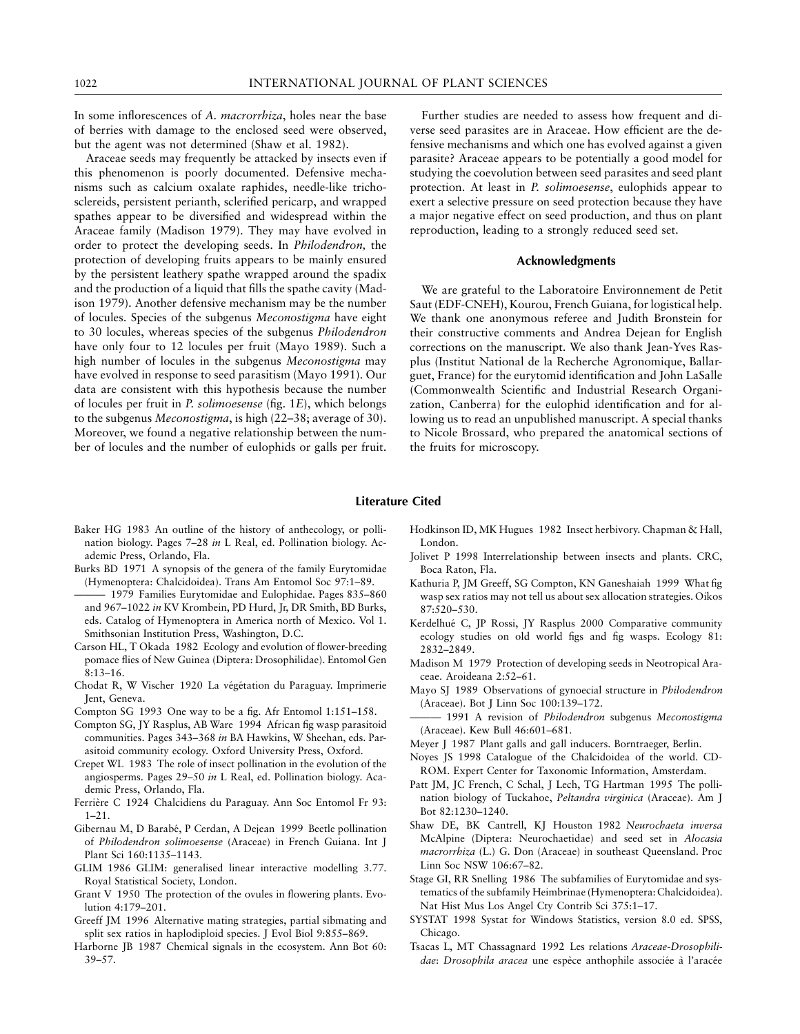In some inflorescences of *A. macrorrhiza*, holes near the base of berries with damage to the enclosed seed were observed, but the agent was not determined (Shaw et al. 1982).

Araceae seeds may frequently be attacked by insects even if this phenomenon is poorly documented. Defensive mechanisms such as calcium oxalate raphides, needle-like trichosclereids, persistent perianth, sclerified pericarp, and wrapped spathes appear to be diversified and widespread within the Araceae family (Madison 1979). They may have evolved in order to protect the developing seeds. In *Philodendron,* the protection of developing fruits appears to be mainly ensured by the persistent leathery spathe wrapped around the spadix and the production of a liquid that fills the spathe cavity (Madison 1979). Another defensive mechanism may be the number of locules. Species of the subgenus *Meconostigma* have eight to 30 locules, whereas species of the subgenus *Philodendron* have only four to 12 locules per fruit (Mayo 1989). Such a high number of locules in the subgenus *Meconostigma* may have evolved in response to seed parasitism (Mayo 1991). Our data are consistent with this hypothesis because the number of locules per fruit in *P. solimoesense* (fig. 1*E*), which belongs to the subgenus *Meconostigma*, is high (22–38; average of 30). Moreover, we found a negative relationship between the number of locules and the number of eulophids or galls per fruit.

Further studies are needed to assess how frequent and diverse seed parasites are in Araceae. How efficient are the defensive mechanisms and which one has evolved against a given parasite? Araceae appears to be potentially a good model for studying the coevolution between seed parasites and seed plant protection. At least in *P. solimoesense*, eulophids appear to exert a selective pressure on seed protection because they have a major negative effect on seed production, and thus on plant reproduction, leading to a strongly reduced seed set.

## **Acknowledgments**

We are grateful to the Laboratoire Environnement de Petit Saut (EDF-CNEH), Kourou, French Guiana, for logistical help. We thank one anonymous referee and Judith Bronstein for their constructive comments and Andrea Dejean for English corrections on the manuscript. We also thank Jean-Yves Rasplus (Institut National de la Recherche Agronomique, Ballarguet, France) for the eurytomid identification and John LaSalle (Commonwealth Scientific and Industrial Research Organization, Canberra) for the eulophid identification and for allowing us to read an unpublished manuscript. A special thanks to Nicole Brossard, who prepared the anatomical sections of the fruits for microscopy.

## **Literature Cited**

- Baker HG 1983 An outline of the history of anthecology, or pollination biology. Pages 7–28 *in* L Real, ed. Pollination biology. Academic Press, Orlando, Fla.
- Burks BD 1971 A synopsis of the genera of the family Eurytomidae (Hymenoptera: Chalcidoidea). Trans Am Entomol Soc 97:1–89.
- 1979 Families Eurytomidae and Eulophidae. Pages 835-860 and 967–1022 *in* KV Krombein, PD Hurd, Jr, DR Smith, BD Burks, eds. Catalog of Hymenoptera in America north of Mexico. Vol 1. Smithsonian Institution Press, Washington, D.C.
- Carson HL, T Okada 1982 Ecology and evolution of flower-breeding pomace flies of New Guinea (Diptera: Drosophilidae). Entomol Gen 8:13–16.
- Chodat R, W Vischer 1920 La végétation du Paraguay. Imprimerie Jent, Geneva.
- Compton SG 1993 One way to be a fig. Afr Entomol 1:151–158.
- Compton SG, JY Rasplus, AB Ware 1994 African fig wasp parasitoid communities. Pages 343–368 *in* BA Hawkins, W Sheehan, eds. Parasitoid community ecology. Oxford University Press, Oxford.
- Crepet WL 1983 The role of insect pollination in the evolution of the angiosperms. Pages 29–50 *in* L Real, ed. Pollination biology. Academic Press, Orlando, Fla.
- Ferrière C 1924 Chalcidiens du Paraguay. Ann Soc Entomol Fr 93: 1–21.
- Gibernau M, D Barabé, P Cerdan, A Dejean 1999 Beetle pollination of *Philodendron solimoesense* (Araceae) in French Guiana. Int J Plant Sci 160:1135–1143.
- GLIM 1986 GLIM: generalised linear interactive modelling 3.77. Royal Statistical Society, London.
- Grant V 1950 The protection of the ovules in flowering plants. Evolution 4:179–201.
- Greeff JM 1996 Alternative mating strategies, partial sibmating and split sex ratios in haplodiploid species. J Evol Biol 9:855–869.
- Harborne JB 1987 Chemical signals in the ecosystem. Ann Bot 60: 39–57.
- Hodkinson ID, MK Hugues 1982 Insect herbivory. Chapman & Hall, London.
- Jolivet P 1998 Interrelationship between insects and plants. CRC, Boca Raton, Fla.
- Kathuria P, JM Greeff, SG Compton, KN Ganeshaiah 1999 What fig wasp sex ratios may not tell us about sex allocation strategies. Oikos 87:520–530.
- Kerdelhué C, JP Rossi, JY Rasplus 2000 Comparative community ecology studies on old world figs and fig wasps. Ecology 81: 2832–2849.
- Madison M 1979 Protection of developing seeds in Neotropical Araceae. Aroideana 2:52–61.
- Mayo SJ 1989 Observations of gynoecial structure in *Philodendron* (Araceae). Bot J Linn Soc 100:139–172.
- ——— 1991 A revision of *Philodendron* subgenus *Meconostigma* (Araceae). Kew Bull 46:601–681.
- Meyer J 1987 Plant galls and gall inducers. Borntraeger, Berlin.
- Noyes JS 1998 Catalogue of the Chalcidoidea of the world. CD-ROM. Expert Center for Taxonomic Information, Amsterdam.
- Patt JM, JC French, C Schal, J Lech, TG Hartman 1995 The pollination biology of Tuckahoe, *Peltandra virginica* (Araceae). Am J Bot 82:1230–1240.
- Shaw DE, BK Cantrell, KJ Houston 1982 *Neurochaeta inversa* McAlpine (Diptera: Neurochaetidae) and seed set in *Alocasia macrorrhiza* (L.) G. Don (Araceae) in southeast Queensland. Proc Linn Soc NSW 106:67–82.
- Stage GI, RR Snelling 1986 The subfamilies of Eurytomidae and systematics of the subfamily Heimbrinae (Hymenoptera: Chalcidoidea). Nat Hist Mus Los Angel Cty Contrib Sci 375:1–17.
- SYSTAT 1998 Systat for Windows Statistics, version 8.0 ed. SPSS, Chicago.
- Tsacas L, MT Chassagnard 1992 Les relations *Araceae*-*Drosophili*dae: Drosophila aracea une espèce anthophile associée à l'aracée